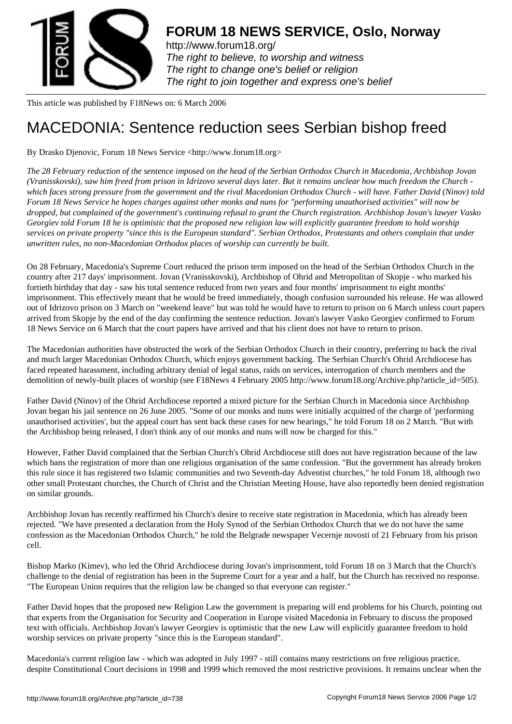

http://www.forum18.org/ The right to believe, to worship and witness The right to change one's belief or religion [The right to join together](http://www.forum18.org/) and express one's belief

This article was published by F18News on: 6 March 2006

## [MACEDONIA: Sen](http://www.forum18.org)tence reduction sees Serbian bishop freed

By Drasko Djenovic, Forum 18 News Service <http://www.forum18.org>

*The 28 February reduction of the sentence imposed on the head of the Serbian Orthodox Church in Macedonia, Archbishop Jovan (Vranisskovski), saw him freed from prison in Idrizovo several days later. But it remains unclear how much freedom the Church which faces strong pressure from the government and the rival Macedonian Orthodox Church - will have. Father David (Ninov) told Forum 18 News Service he hopes charges against other monks and nuns for "performing unauthorised activities" will now be dropped, but complained of the government's continuing refusal to grant the Church registration. Archbishop Jovan's lawyer Vasko Georgiev told Forum 18 he is optimistic that the proposed new religion law will explicitly guarantee freedom to hold worship services on private property "since this is the European standard". Serbian Orthodox, Protestants and others complain that under unwritten rules, no non-Macedonian Orthodox places of worship can currently be built.*

On 28 February, Macedonia's Supreme Court reduced the prison term imposed on the head of the Serbian Orthodox Church in the country after 217 days' imprisonment. Jovan (Vranisskovski), Archbishop of Ohrid and Metropolitan of Skopje - who marked his fortieth birthday that day - saw his total sentence reduced from two years and four months' imprisonment to eight months' imprisonment. This effectively meant that he would be freed immediately, though confusion surrounded his release. He was allowed out of Idrizovo prison on 3 March on "weekend leave" but was told he would have to return to prison on 6 March unless court papers arrived from Skopje by the end of the day confirming the sentence reduction. Jovan's lawyer Vasko Georgiev confirmed to Forum 18 News Service on 6 March that the court papers have arrived and that his client does not have to return to prison.

The Macedonian authorities have obstructed the work of the Serbian Orthodox Church in their country, preferring to back the rival and much larger Macedonian Orthodox Church, which enjoys government backing. The Serbian Church's Ohrid Archdiocese has faced repeated harassment, including arbitrary denial of legal status, raids on services, interrogation of church members and the demolition of newly-built places of worship (see F18News 4 February 2005 http://www.forum18.org/Archive.php?article\_id=505).

Father David (Ninov) of the Ohrid Archdiocese reported a mixed picture for the Serbian Church in Macedonia since Archbishop Jovan began his jail sentence on 26 June 2005. "Some of our monks and nuns were initially acquitted of the charge of 'performing unauthorised activities', but the appeal court has sent back these cases for new hearings," he told Forum 18 on 2 March. "But with the Archbishop being released, I don't think any of our monks and nuns will now be charged for this."

However, Father David complained that the Serbian Church's Ohrid Archdiocese still does not have registration because of the law which bans the registration of more than one religious organisation of the same confession. "But the government has already broken this rule since it has registered two Islamic communities and two Seventh-day Adventist churches," he told Forum 18, although two other small Protestant churches, the Church of Christ and the Christian Meeting House, have also reportedly been denied registration on similar grounds.

Archbishop Jovan has recently reaffirmed his Church's desire to receive state registration in Macedonia, which has already been rejected. "We have presented a declaration from the Holy Synod of the Serbian Orthodox Church that we do not have the same confession as the Macedonian Orthodox Church," he told the Belgrade newspaper Vecernje novosti of 21 February from his prison cell.

Bishop Marko (Kimev), who led the Ohrid Archdiocese during Jovan's imprisonment, told Forum 18 on 3 March that the Church's challenge to the denial of registration has been in the Supreme Court for a year and a half, but the Church has received no response. "The European Union requires that the religion law be changed so that everyone can register."

Father David hopes that the proposed new Religion Law the government is preparing will end problems for his Church, pointing out that experts from the Organisation for Security and Cooperation in Europe visited Macedonia in February to discuss the proposed text with officials. Archbishop Jovan's lawyer Georgiev is optimistic that the new Law will explicitly guarantee freedom to hold worship services on private property "since this is the European standard".

Macedonia's current religion law - which was adopted in July 1997 - still contains many restrictions on free religious practice, despite Constitutional Court decisions in 1998 and 1999 which removed the most restrictive provisions. It remains unclear when the